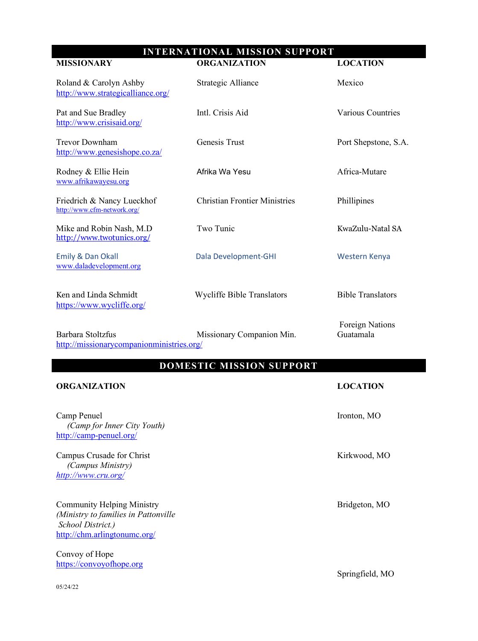## **INTERNATIONAL MISSION SUPPORT**

| <b>MISSIONARY</b>                                           | <b>ORGANIZATION</b>                  | <b>LOCATION</b>                     |
|-------------------------------------------------------------|--------------------------------------|-------------------------------------|
| Roland & Carolyn Ashby<br>http://www.strategicalliance.org/ | Strategic Alliance                   | Mexico                              |
| Pat and Sue Bradley<br>http://www.crisisaid.org/            | Intl. Crisis Aid                     | <b>Various Countries</b>            |
| <b>Trevor Downham</b><br>http://www.genesishope.co.za/      | Genesis Trust                        | Port Shepstone, S.A.                |
| Rodney & Ellie Hein<br>www.afrikawayesu.org                 | Afrika Wa Yesu                       | Africa-Mutare                       |
| Friedrich & Nancy Lueckhof<br>http://www.cfm-network.org/   | <b>Christian Frontier Ministries</b> | Phillipines                         |
| Mike and Robin Nash, M.D<br>http://www.twotunics.org/       | Two Tunic                            | KwaZulu-Natal SA                    |
| Emily & Dan Okall<br>www.daladevelopment.org                | Dala Development-GHI                 | Western Kenya                       |
| Ken and Linda Schmidt<br>https://www.wycliffe.org/          | <b>Wycliffe Bible Translators</b>    | <b>Bible Translators</b>            |
| Barbara Stoltzfus                                           | Missionary Companion Min.            | <b>Foreign Nations</b><br>Guatamala |

http://missionarycompanionministries.org/

## **DOMESTIC MISSION SUPPORT**

| <b>ORGANIZATION</b>                                                                                                            | <b>LOCATION</b> |
|--------------------------------------------------------------------------------------------------------------------------------|-----------------|
| Camp Penuel<br>(Camp for Inner City Youth)<br>http://camp-penuel.org/                                                          | Ironton, MO     |
| Campus Crusade for Christ<br><i>(Campus Ministry)</i><br>http://www.cru.org/                                                   | Kirkwood, MO    |
| <b>Community Helping Ministry</b><br>(Ministry to families in Pattonville<br>School District.)<br>http://chm.arlingtonumc.org/ | Bridgeton, MO   |
| Convoy of Hope                                                                                                                 |                 |
| https://convoyofhope.org                                                                                                       |                 |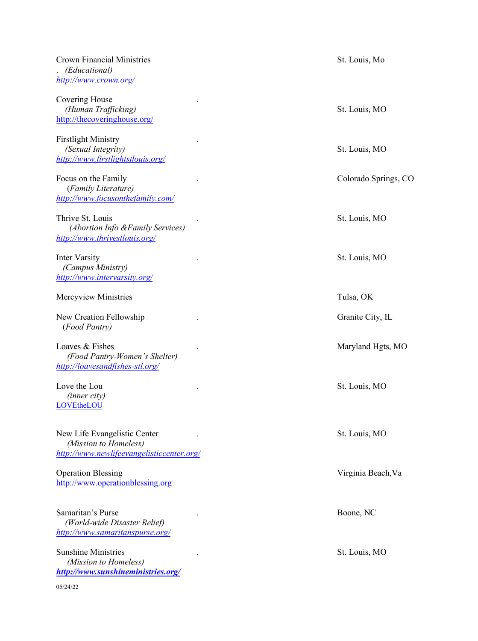| <b>Crown Financial Ministries</b><br>(Educational)<br>http://www.crown.org/                        | St. Louis, Mo        |
|----------------------------------------------------------------------------------------------------|----------------------|
| Covering House<br>(Human Trafficking)<br>http://thecoveringhouse.org/                              | St. Louis, MO        |
| <b>Firstlight Ministry</b><br>(Sexual Integrity)<br>http://www.firstlightstlouis.org/              | St. Louis, MO        |
| Focus on the Family<br>(Family Literature)<br>http://www.focusonthefamily.com/                     | Colorado Springs, CO |
| Thrive St. Louis<br>(Abortion Info & Family Services)<br>http://www.thrivestlouis.org/             | St. Louis, MO        |
| <b>Inter Varsity</b><br>(Campus Ministry)<br>http://www.intervarsity.org/                          | St. Louis, MO        |
| Mercyview Ministries                                                                               | Tulsa, OK            |
| New Creation Fellowship<br>(Food Pantry)                                                           | Granite City, IL     |
| Loaves & Fishes<br>(Food Pantry-Women's Shelter)<br>http://loavesandfishes-stl.org/                | Maryland Hgts, MO    |
| Love the Lou<br>(inner city)<br>LOVEtheLOU                                                         | St. Louis, MO        |
| New Life Evangelistic Center<br>(Mission to Homeless)<br>http://www.newlifeevangelisticcenter.org/ | St. Louis, MO        |
| <b>Operation Blessing</b><br>http://www.operationblessing.org                                      | Virginia Beach, Va   |
| Samaritan's Purse<br>(World-wide Disaster Relief)<br>http://www.samaritanspurse.org/               | Boone, NC            |
| <b>Sunshine Ministries</b><br>(Mission to Homeless)<br>http://www.sunshineministries.org/          | St. Louis, MO        |
| 05/24/22                                                                                           |                      |